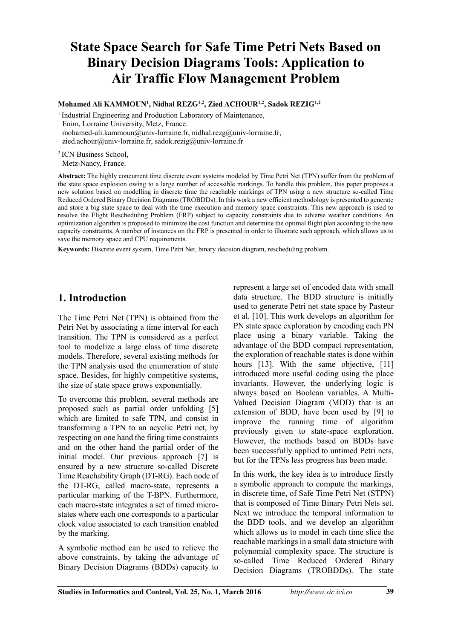# **State Space Search for Safe Time Petri Nets Based on Binary Decision Diagrams Tools: Application to Air Traffic Flow Management Problem**

**Mohamed Ali KAMMOUN<sup>1</sup> , Nidhal REZG1,2 , Zied ACHOUR1,2, Sadok REZIG1,2**

<sup>1</sup> Industrial Engineering and Production Laboratory of Maintenance, Enim, Lorraine University, Metz, France. mohamed-ali.kammoun@univ-lorraine.fr, nidhal.rezg@univ-lorraine.fr, zied.achour@univ-lorraine.fr, sadok.rezig@univ-lorraine.fr

<sup>2</sup>ICN Business School,

Metz-Nancy, France.

**Abstract:** The highly concurrent time discrete event systems modeled by Time Petri Net (TPN) suffer from the problem of the state space explosion owing to a large number of accessible markings. To handle this problem, this paper proposes a new solution based on modelling in discrete time the reachable markings of TPN using a new structure so-called Time Reduced Ordered Binary Decision Diagrams (TROBDDs). In this work a new efficient methodology is presented to generate and store a big state space to deal with the time execution and memory space constraints. This new approach is used to resolve the Flight Rescheduling Problem (FRP) subject to capacity constraints due to adverse weather conditions. An optimization algorithm is proposed to minimize the cost function and determine the optimal flight plan according to the new capacity constraints. A number of instances on the FRP is presented in order to illustrate such approach, which allows us to save the memory space and CPU requirements.

**Keywords:** Discrete event system, Time Petri Net, binary decision diagram, rescheduling problem.

# **1. Introduction**

The Time Petri Net (TPN) is obtained from the Petri Net by associating a time interval for each transition. The TPN is considered as a perfect tool to modelize a large class of time discrete models. Therefore, several existing methods for the TPN analysis used the enumeration of state space. Besides, for highly competitive systems, the size of state space grows exponentially.

To overcome this problem, several methods are proposed such as partial order unfolding [5] which are limited to safe TPN, and consist in transforming a TPN to an acyclic Petri net, by respecting on one hand the firing time constraints and on the other hand the partial order of the initial model. Our previous approach [7] is ensured by a new structure so-called Discrete Time Reachability Graph (DT-RG). Each node of the DT-RG, called macro-state, represents a particular marking of the T-BPN. Furthermore, each macro-state integrates a set of timed microstates where each one corresponds to a particular clock value associated to each transition enabled by the marking.

A symbolic method can be used to relieve the above constraints, by taking the advantage of Binary Decision Diagrams (BDDs) capacity to

represent a large set of encoded data with small data structure. The BDD structure is initially used to generate Petri net state space by Pasteur et al. [10]. This work develops an algorithm for PN state space exploration by encoding each PN place using a binary variable. Taking the advantage of the BDD compact representation, the exploration of reachable states is done within hours [13]. With the same objective, [11] introduced more useful coding using the place invariants. However, the underlying logic is always based on Boolean variables. A Multi-Valued Decision Diagram (MDD) that is an extension of BDD, have been used by [9] to improve the running time of algorithm previously given to state-space exploration. However, the methods based on BDDs have been successfully applied to untimed Petri nets, but for the TPNs less progress has been made.

In this work, the key idea is to introduce firstly a symbolic approach to compute the markings, in discrete time, of Safe Time Petri Net (STPN) that is composed of Time Binary Petri Nets set. Next we introduce the temporal information to the BDD tools, and we develop an algorithm which allows us to model in each time slice the reachable markings in a small data structure with polynomial complexity space. The structure is so-called Time Reduced Ordered Binary Decision Diagrams (TROBDDs). The state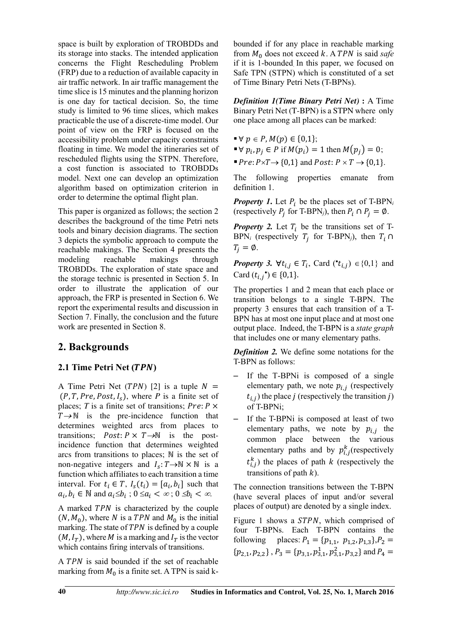space is built by exploration of TROBDDs and its storage into stacks. The intended application concerns the Flight Rescheduling Problem (FRP) due to a reduction of available capacity in air traffic network. In air traffic management the time slice is 15 minutes and the planning horizon is one day for tactical decision. So, the time study is limited to 96 time slices, which makes practicable the use of a discrete-time model. Our point of view on the FRP is focused on the accessibility problem under capacity constraints floating in time. We model the itineraries set of rescheduled flights using the STPN. Therefore, a cost function is associated to TROBDDs model. Next one can develop an optimization algorithm based on optimization criterion in order to determine the optimal flight plan.

This paper is organized as follows; the section 2 describes the background of the time Petri nets tools and binary decision diagrams. The section 3 depicts the symbolic approach to compute the reachable makings. The Section 4 presents the modeling reachable makings through TROBDDs. The exploration of state space and the storage technic is presented in Section 5. In order to illustrate the application of our approach, the FRP is presented in Section 6. We report the experimental results and discussion in Section 7. Finally, the conclusion and the future work are presented in Section 8.

# **2. Backgrounds**

### **2.1 Time Petri Net (TPN)**

A Time Petri Net ( $TPN$ ) [2] is a tuple  $N =$  $(P, T, Pre, Post, I_s)$ , where *P* is a finite set of places; *T* is a finite set of transitions;  $Pre: P \times$  $T \rightarrow \mathbb{N}$  is the pre-incidence function that determines weighted arcs from places to transitions;  $Post: P \times T \rightarrow \mathbb{N}$  is the postincidence function that determines weighted arcs from transitions to places;  $N$  is the set of non-negative integers and  $I_s: T \rightarrow \mathbb{N} \times \mathbb{N}$  is a function which affiliates to each transition a time interval. For  $t_i \in T$ ,  $I_s(t_i) = [a_i, b_i]$  such that  $a_i, b_i \in \mathbb{N}$  and  $a_i \leq b_i$ ;  $0 \leq a_i < \infty$ ;  $0 \leq b_i < \infty$ .

A marked TPN is characterized by the couple  $(N, M_0)$ , where N is a TPN and  $M_0$  is the initial marking. The state of  $TPN$  is defined by a couple  $(M, I_T)$ , where M is a marking and  $I_T$  is the vector which contains firing intervals of transitions.

A TPN is said bounded if the set of reachable marking from  $M_0$  is a finite set. A TPN is said kbounded if for any place in reachable marking from  $M_0$  does not exceed  $k$ . A TPN is said *safe* if it is 1-bounded. In this paper, we focused on Safe TPN (STPN) which is constituted of a set of Time Binary Petri Nets (T-BPNs).

*Definition 1(Time Binary Petri Net)* **:** A Time Binary Petri Net (T-BPN) is a STPN where only one place among all places can be marked:

$$
\blacksquare \forall p \in P, M(p) \in \{0,1\};
$$

- $\blacktriangleright \forall p_i, p_j \in P$  if  $M(p_i) = 1$  then  $M(p_j) = 0$ ;
- $\blacksquare$   $Pre: P \times T \rightarrow \{0,1\}$  and  $Post: P \times T \rightarrow \{0,1\}.$

The following properties emanate from definition 1.

*Property 1*. Let  $P_i$  be the places set of T-BPN<sub>i</sub> (respectively  $P_j$  for T-BPN<sub>j</sub>), then  $P_i \cap P_j = \emptyset$ .

*Property 2.* Let  $T_i$  be the transitions set of T- $BPN_i$  (respectively  $T_j$  for T-BPN<sub>j</sub>), then  $T_i \cap$  $T_i = \emptyset$ .

*Property 3.*  $\forall t_{i,j} \in T_i$ , Card  $(\star_{i,j}) \in \{0,1\}$  and Card  $(t_{i,j}^{\bullet}) \in \{0,1\}.$ 

The properties 1 and 2 mean that each place or transition belongs to a single T-BPN. The property 3 ensures that each transition of a T-BPN has at most one input place and at most one output place. Indeed, the T-BPN is a *state graph* that includes one or many elementary paths.

*Definition 2.* We define some notations for the T-BPN as follows:

- If the T-BPNi is composed of a single elementary path, we note  $p_{i,i}$  (respectively  $t_{i,j}$ ) the place *j* (respectively the transition *j*) of T-BPNi;
- If the T-BPNi is composed at least of two elementary paths, we note by  $p_{i,j}$  the common place between the various elementary paths and by  $p_{i,j}^k$  (respectively  $t_{i,j}^k$ ) the places of path k (respectively the transitions of path  $k$ ).

The connection transitions between the T-BPN (have several places of input and/or several places of output) are denoted by a single index.

Figure 1 shows a STPN, which comprised of four T-BPNs. Each T-BPN contains the following places:  $P_1 = \{p_{1,1}, p_{1,2}, p_{1,3}\}, P_2 =$  $\{p_{2,1}, p_{2,2}\}, P_3 = \{p_{3,1}, p_{3,1}^1, p_{3,1}^2, p_{3,2}\}\$  and  $P_4 =$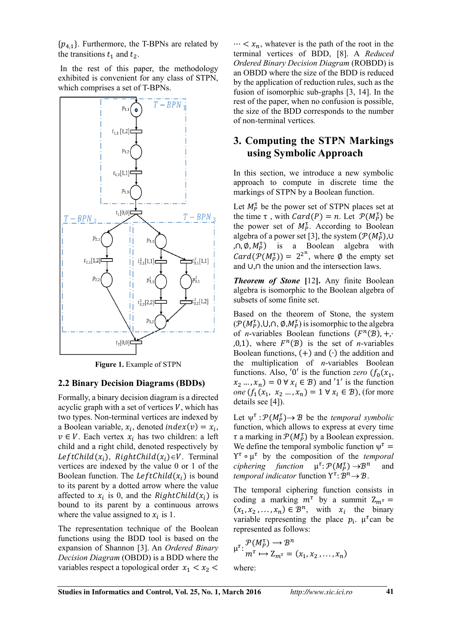$\{p_{4,1}\}.$  Furthermore, the T-BPNs are related by the transitions  $t_1$  and  $t_2$ .

 In the rest of this paper, the methodology exhibited is convenient for any class of STPN, which comprises a set of T-BPNs.



**Figure 1.** Example of STPN

#### **2.2 Binary Decision Diagrams (BDDs)**

Formally, a binary decision diagram is a directed acyclic graph with a set of vertices  $V$ , which has two types. Non-terminal vertices are indexed by a Boolean variable,  $x_i$ , denoted  $index(v) = x_i$ ,  $v \in V$ . Each vertex  $x_i$  has two children: a left child and a right child, denoted respectively by  $LeftChild(x_i)$ ,  $RightChild(x_i) \in V$ . Terminal vertices are indexed by the value 0 or 1 of the Boolean function. The  $LeftChild(x_i)$  is bound to its parent by a dotted arrow where the value affected to  $x_i$  is 0, and the *RightChild* $(x_i)$  is bound to its parent by a continuous arrows where the value assigned to  $x_i$  is 1.

The representation technique of the Boolean functions using the BDD tool is based on the expansion of Shannon [3]. An *Ordered Binary Decision Diagram* (OBDD) is a BDD where the variables respect a topological order  $x_1 < x_2$ 

 $\cdots < x_n$ , whatever is the path of the root in the terminal vertices of BDD, [8]. A *Reduced Ordered Binary Decision Diagram* (ROBDD) is an OBDD where the size of the BDD is reduced by the application of reduction rules, such as the fusion of isomorphic sub-graphs [3, 14]. In the rest of the paper, when no confusion is possible, the size of the BDD corresponds to the number of non-terminal vertices.

### **3. Computing the STPN Markings using Symbolic Approach**

In this section, we introduce a new symbolic approach to compute in discrete time the markings of STPN by a Boolean function.

Let  $M_P^{\tau}$  be the power set of STPN places set at the time  $\tau$ , with  $Card(P) = n$ . Let  $P(M_P^{\tau})$  be the power set of  $M_P^{\tau}$ . According to Boolean algebra of a power set [3], the system  $(\mathcal{P}(M_P^{\tau}), \cup)$  $(\rho, \emptyset, M_P^{\tau})$  is a Boolean algebra with  $Card(\mathcal{P}(M_P^{\tau})) = 2^{2^n}$ , where Ø the empty set and  $\cup, \cap$  the union and the intersection laws.

*Theorem of Stone* **[**12**].** Any finite Boolean algebra is isomorphic to the Boolean algebra of subsets of some finite set.

Based on the theorem of Stone, the system  $(\mathcal{P}(M_P^{\tau}), \cup, \cap, \emptyset, M_P^{\tau})$  is isomorphic to the algebra of *n*-variables Boolean functions  $(F^n(\mathcal{B}), +, \cdot)$  $(0,1)$ , where  $F^n(\mathcal{B})$  is the set of *n*-variables Boolean functions,  $(+)$  and  $(·)$  the addition and the multiplication of *n*-variables Boolean functions. Also, '0' is the function *zero*  $(f_0(x_1))$  $(x_2 \dots, x_n) = 0 \,\forall \, x_i \in \mathcal{B}$  and '1' is the function *one*  $(f_1(x_1, x_2, ..., x_n) = 1 \forall x_i \in \mathcal{B})$ , (for more details see [4]).

Let  $\psi^{\tau} : \mathcal{P}(M_P^{\tau}) \to \mathcal{B}$  be the *temporal symbolic* function, which allows to express at every time  $\tau$  a marking in  $\mathcal{P}(M_P^{\tau})$  by a Boolean expression. We define the temporal symbolic function  $\psi^{\tau} =$ Υ µ ל by the composition of the *temporal*  ciphering function  $\mu^{\tau} \colon \mathcal{P}(M_P^{\tau}) \to \mathcal{B}^n$  and *temporal indicator* function  $Y^{\tau}$ :  $\mathcal{B}^n \rightarrow \mathcal{B}$ .

The temporal ciphering function consists in coding a marking  $m^{\tau}$  by a summit  $Z_{m^{\tau}} =$  $(x_1, x_2, ..., x_n) \in \mathcal{B}^n$ , with  $x_i$  the binary variable representing the place  $p_i$ .  $\mu^{\tau}$ can be represented as follows:

$$
\mu^{\tau} \colon \frac{\mathcal{P}(M_P^{\tau}) \to \mathcal{B}^n}{m^{\tau} \mapsto Z_{m^{\tau}} = (x_1, x_2, \dots, x_n)}
$$

where: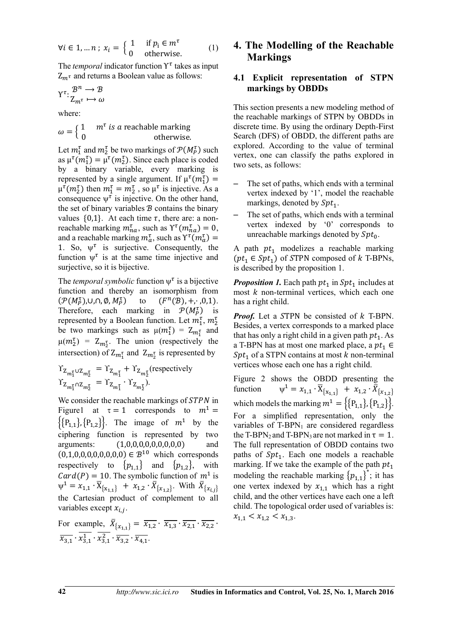$$
\forall i \in 1, \dots n \; ; \; x_i = \begin{cases} 1 & \text{if } p_i \in m^\tau \\ 0 & \text{otherwise.} \end{cases} \tag{1}
$$

The *temporal* indicator function  $Y^{\tau}$  takes as input  $Z_{m^{\tau}}$  and returns a Boolean value as follows:

$$
\Upsilon^{\tau} \colon \frac{\mathcal{B}^n \to \mathcal{B}}{Z_{m^{\tau}} \mapsto \omega}
$$

where:

$$
\omega = \begin{cases} 1 & m^{\tau} \text{ is a reachable marking} \\ 0 & \text{otherwise.} \end{cases}
$$

Let  $m_1^{\tau}$  and  $m_2^{\tau}$  be two markings of  $\mathcal{P}(M_P^{\tau})$  such as  $\mu^{\tau}(m_1^{\tau}) = \mu^{\tau}(m_2^{\tau})$ . Since each place is coded by a binary variable, every marking is represented by a single argument. If  $\mu^{\tau}(m_1^{\tau}) =$  $\mu^{\tau}(m_2^{\tau})$  then  $m_1^{\tau} = m_2^{\tau}$ , so  $\mu^{\tau}$  is injective. As a consequence  $\psi^{\tau}$  is injective. On the other hand, the set of binary variables  $B$  contains the binary values  $\{0,1\}$ . At each time  $\tau$ , there are: a nonreachable marking  $m_{na}^{\tau}$ , such as  $\Upsilon^{\tau}(m_{na}^{\tau}) = 0$ , and a reachable marking  $m_a^{\tau}$ , such as  $\Upsilon^{\tau}(m_a^{\tau}) =$ 1. So,  $\psi^{\tau}$  is surjective. Consequently, the function  $\psi^{\tau}$  is at the same time injective and surjective, so it is bijective.

The *temporal symbolic* function  $\psi^{\tau}$  is a bijective function and thereby an isomorphism from  $(\mathcal{P}(M_P^{\tau}),$ U,N, $\emptyset$ , $M_P^{\tau}$ ) to  $(F^n(\mathcal{B}), +, \cdot, 0, 1)$ . Therefore, each marking in  $\mathcal{P}(M_P^{\tau})$  is represented by a Boolean function. Let  $m_1^{\tau}$ ,  $m_2^{\tau}$ be two markings such as  $\mu(m_1^{\tau}) = Z_{m_1^{\tau}}$  and  $\mu(m_2^{\tau}) = Z_{m_2^{\tau}}$ . The union (respectively the intersection) of  $Z_{m_1^{\tau}}$  and  $Z_{m_2^{\tau}}$  is represented by

$$
\begin{aligned} \Upsilon_{Z_{m_1^{\tau}} \cup Z_{m_2^{\tau}}} &= \Upsilon_{Z_{m_1^{\tau}}} + \Upsilon_{Z_{m_2^{\tau}}} \text{(respectively} \\ \Upsilon_{Z_{m_1^{\tau}} \cap Z_{m_2^{\tau}}} &= \Upsilon_{Z_{m_1^{\tau}}} \cdot \Upsilon_{Z_{m_2^{\tau}}} \text{)} .\end{aligned}
$$

We consider the reachable markings of  $STPN$  in Figure1 at  $\tau = 1$  corresponds to  $m^1 =$  $\{P_{1,1}\}, \{P_{1,2}\}\}\.$  The image of  $m^1$  by the ciphering function is represented by two  $arquments: (1,0,0,0,0,0,0,0,0,0)$  and  $(0,1,0,0,0,0,0,0,0,0,0) \in \mathcal{B}^{10}$  which corresponds respectively to  $\{p_{1,1}\}\$  and  $\{p_{1,2}\}\$ , with  $Card(P) = 10$ . The symbolic function of  $m<sup>1</sup>$  is  $\psi^1 = x_{1,1} \cdot \overline{X}_{\{x_{1,1}\}} + x_{1,2} \cdot \overline{X}_{\{x_{1,2}\}}$ . With  $\overline{X}_{\{x_{i,j}\}}$ the Cartesian product of complement to all variables except  $x_{i,i}$ .

For example,  $\bar{X}_{\{x_{1,1}\}} = \overline{x_{1,2}} \cdot \overline{x_{1,3}} \cdot \overline{x_{2,1}} \cdot \overline{x_{2,2}}$ .  $\overline{x_{3,1}} \cdot x_{3,1}^1 \cdot x_{3,1}^2 \cdot \overline{x_{3,2}} \cdot \overline{x_{4,1}}.$ 

### **4. The Modelling of the Reachable Markings**

#### **4.1 Explicit representation of STPN markings by OBDDs**

This section presents a new modeling method of the reachable markings of STPN by OBDDs in discrete time. By using the ordinary Depth-First Search (DFS) of OBDD, the different paths are explored. According to the value of terminal vertex, one can classify the paths explored in two sets, as follows:

- The set of paths, which ends with a terminal vertex indexed by '1', model the reachable markings, denoted by  $Spt_1$ .
- The set of paths, which ends with a terminal vertex indexed by '0' corresponds to unreachable markings denoted by  $Spt_0$ .

A path  $pt_1$  modelizes a reachable marking  $(pt_1 \in Spt_1)$  of STPN composed of k T-BPNs, is described by the proposition 1.

*Proposition 1.* Each path  $pt_1$  in  $Spt_1$  includes at most  $k$  non-terminal vertices, which each one has a right child.

*Proof.* Let a STPN be consisted of k T-BPN. Besides, a vertex corresponds to a marked place that has only a right child in a given path  $pt_1$ . As a T-BPN has at most one marked place, a  $pt_1 \in$  $Spt_1$  of a STPN contains at most k non-terminal vertices whose each one has a right child.

Figure 2 shows the OBDD presenting the function  $\overline{X} = x_{1,1} \cdot \overline{X}_{\{x_{1,1}\}} + x_{1,2} \cdot \overline{X}_{\{x_{1,2}\}}$ which models the marking  $m^1 = \{ \{\mathbf{P}_{1,1}\}, \{\mathbf{P}_{1,2}\} \}.$ For a simplified representation, only the variables of  $T-BPN_1$  are considered regardless the T-BPN<sub>2</sub> and T-BPN<sub>3</sub> are not marked in  $\tau = 1$ . The full representation of OBDD contains two paths of  $Spt_1$ . Each one models a reachable marking. If we take the example of the path  $pt_1$ modeling the reachable marking  ${p_{1,1}}^*$ ; it has one vertex indexed by  $x_{1,1}$  which has a right child, and the other vertices have each one a left child. The topological order used of variables is:  $x_{1,1} < x_{1,2} < x_{1,3}$ .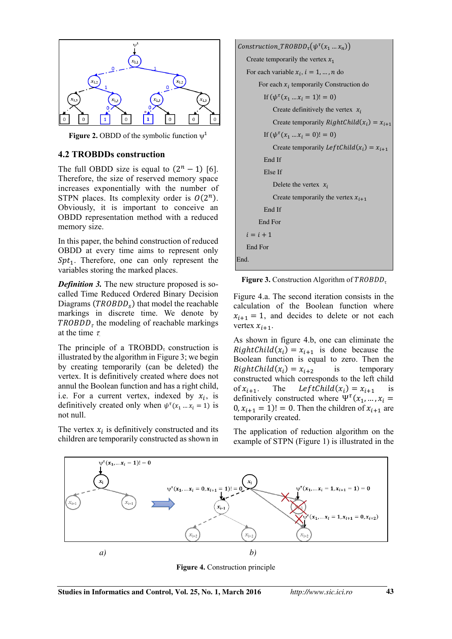

**Figure 2.** OBDD of the symbolic function  $\psi^1$ 

#### **4.2 TROBDDs construction**

The full OBDD size is equal to  $(2<sup>n</sup> - 1)$  [6]. Therefore, the size of reserved memory space increases exponentially with the number of STPN places. Its complexity order is  $O(2^n)$ . Obviously, it is important to conceive an OBDD representation method with a reduced memory size.

In this paper, the behind construction of reduced OBDD at every time aims to represent only  $Spt_1$ . Therefore, one can only represent the variables storing the marked places.

*Definition 3.* The new structure proposed is socalled Time Reduced Ordered Binary Decision Diagrams ( $TROBDD<sub>s</sub>$ ) that model the reachable markings in discrete time. We denote by  $TROBDD_{\tau}$  the modeling of reachable markings at the time  $\tau$ 

The principle of a TROBDD<sub> $\tau$ </sub> construction is illustrated by the algorithm in Figure 3; we begin by creating temporarily (can be deleted) the vertex. It is definitively created where does not annul the Boolean function and has a right child, i.e. For a current vertex, indexed by  $x_i$ , is definitively created only when  $\psi^{\tau}(x_1 ... x_i = 1)$  is not null.

The vertex  $x_i$  is definitively constructed and its children are temporarily constructed as shown in



**Figure 3.** Construction Algorithm of  $TROBDD_{\tau}$ 

Figure 4.a. The second iteration consists in the calculation of the Boolean function where  $x_{i+1} = 1$ , and decides to delete or not each vertex  $x_{i+1}$ .

As shown in figure 4.b, one can eliminate the  $RightChild(x_i) = x_{i+1}$  is done because the Boolean function is equal to zero. Then the  $RightChild(x_i) = x_{i+2}$ is temporary constructed which corresponds to the left child of  $x_{i+1}$ . The LeftChild $(x_i) = x_{i+1}$  is definitively constructed where  $\Psi^{\tau}(x_1, ..., x_i =$  $(0, x_{i+1} = 1)! = 0$ . Then the children of  $x_{i+1}$  are temporarily created.

The application of reduction algorithm on the example of STPN (Figure 1) is illustrated in the



**Figure 4.** Construction principle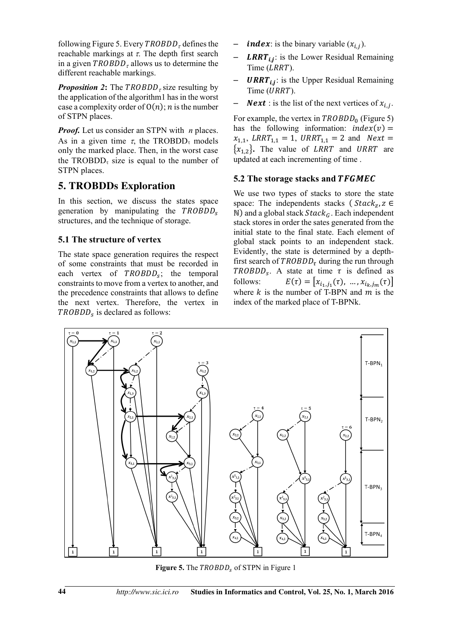following Figure 5. Every  $TROBDD_{\tau}$  defines the reachable markings at  $\tau$ . The depth first search in a given  $TROBDD<sub>\tau</sub>$  allows us to determine the different reachable markings.

*Proposition 2***:** The  $TROBDD<sub>z</sub>$  size resulting by the application of the algorithm1 has in the worst case a complexity order of  $O(n)$ ; *n* is the number of STPN places.

*Proof.* Let us consider an STPN with *n* places. As in a given time  $\tau$ , the TROBDD<sub> $\tau$ </sub> models only the marked place. Then, in the worst case the TROBDD<sub> $\tau$ </sub> size is equal to the number of STPN places.

# **5. TROBDDs Exploration**

In this section, we discuss the states space generation by manipulating the  $TROBDD<sub>s</sub>$ structures, and the technique of storage.

### **5.1 The structure of vertex**

The state space generation requires the respect of some constraints that must be recorded in each vertex of  $TROBDD<sub>s</sub>$ ; the temporal constraints to move from a vertex to another, and the precedence constraints that allows to define the next vertex. Therefore, the vertex in  $TROBDD<sub>s</sub>$  is declared as follows:

- *index*: is the binary variable  $(x_{i,j})$ .
- **LRRT**<sub>ij</sub>: is the Lower Residual Remaining Time (*LRRT*).
- **URRT**<sub>ij</sub>: is the Upper Residual Remaining Time (URRT).
- **Next** : is the list of the next vertices of  $x_{i,j}$ .

For example, the vertex in  $TROBDD<sub>0</sub>$  (Figure 5) has the following information:  $index(v) =$  $x_{1,1}$ , LRRT<sub>1,1</sub> = 1, URRT<sub>1,1</sub> = 2 and *Next* =  ${x_{1,2}}$ . The value of *LRRT* and *URRT* are updated at each incrementing of time .

#### **5.2 The storage stacks and TFGMEC**

We use two types of stacks to store the state space: The independents stacks ( $Stack_z$ ,  $z \in$ N) and a global stack  $Stack_G$ . Each independent stack stores in order the sates generated from the initial state to the final state. Each element of global stack points to an independent stack. Evidently, the state is determined by a depthfirst search of  $TROBDD_{\tau}$  during the run through  $TROBDD<sub>s</sub>$ . A state at time  $\tau$  is defined as follows:  $E(\tau) = [x_{i_1, j_1}(\tau), ..., x_{i_k, j_m}(\tau)]$ where  $k$  is the number of T-BPN and  $m$  is the index of the marked place of T-BPNk.



**Figure 5.** The *TROBDD*<sub>s</sub> of STPN in Figure 1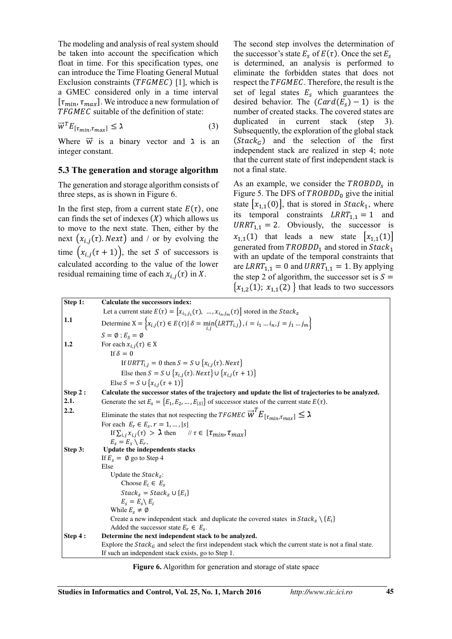The modeling and analysis of real system should be taken into account the specification which float in time. For this specification types, one can introduce the Time Floating General Mutual Exclusion constraints  $(TFGMEC)$  [1], which is a GMEC considered only in a time interval  $[\tau_{min}, \tau_{max}]$ . We introduce a new formulation of TFGMEC suitable of the definition of state:

$$
\vec{w}^T E_{[\tau_{min}, \tau_{max}]} \le \lambda \tag{3}
$$

Where  $\vec{w}$  is a binary vector and  $\lambda$  is an integer constant.

#### **5.3 The generation and storage algorithm**

The generation and storage algorithm consists of three steps, as is shown in Figure 6.

In the first step, from a current state  $E(\tau)$ , one can finds the set of indexes  $(X)$  which allows us to move to the next state. Then, either by the next  $(x_{i,j}(\tau)$ . *Next*) and / or by evolving the time  $(x_{i,j}(\tau+1))$ , the set *S* of successors is calculated according to the value of the lower residual remaining time of each  $x_{i,j}(\tau)$  in X.

The second step involves the determination of the successor's state  $E_s$  of  $E(\tau)$ . Once the set  $E_s$ is determined, an analysis is performed to eliminate the forbidden states that does not respect the TFGMEC. Therefore, the result is the set of legal states  $E_s$  which guarantees the desired behavior. The  $(Card(E<sub>s</sub>) - 1)$  is the number of created stacks. The covered states are duplicated in current stack (step 3). Subsequently, the exploration of the global stack  $(Stack<sub>G</sub>)$  and the selection of the first independent stack are realized in step 4; note that the current state of first independent stack is not a final state.

As an example, we consider the  $TROBDD<sub>s</sub>$  in Figure 5. The DFS of  $TROBDD<sub>0</sub>$  give the initial state  $|x_{1,1}(0)|$ , that is stored in  $Stack_1$ , where its temporal constraints  $LRRT_{1,1} = 1$  and  $\text{URRT}_{1,1} = 2$ . Obviously, the successor is  $x_{1,1}(1)$  that leads a new state  $[x_{1,1}(1)]$ generated from  $TROBDD_1$  and stored in  $Stack_1$ with an update of the temporal constraints that are  $LRRT_{1,1} = 0$  and  $URRT_{1,1} = 1$ . By applying the step 2 of algorithm, the successor set is  $S =$  ${x_{1,2}(1)}$ ;  $x_{1,1}(2)$  } that leads to two successors

| Step 1: | <b>Calculate the successors index:</b>                                                                                     |
|---------|----------------------------------------------------------------------------------------------------------------------------|
|         | Let a current state $E(\tau) = [x_{i_1, i_1}(\tau), , x_{i_n, i_m}(\tau)]$ stored in the <i>Stack</i> <sub>z</sub>         |
| 1.1     | Determine $X = \{x_{i,j}(\tau) \in E(\tau)   \delta = \min_{i} (LRTT_{i,j})\}\$ , $i = i_1 \dots i_n, j = j_1 \dots j_m\}$ |
|         | $S = \emptyset$ ; $E_S = \emptyset$                                                                                        |
| 1.2     | For each $x_{i,j}(\tau) \in X$                                                                                             |
|         | If $\delta = 0$                                                                                                            |
|         | If URTT <sub>i,j</sub> = 0 then $S = S \cup \{x_{i,j}(\tau) \text{. Next}\}\$                                              |
|         | Else then $S = S \cup \{x_{i,j}(\tau) \text{. } Next\} \cup \{x_{i,j}(\tau+1)\}\$                                          |
|         | Else $S = S \cup \{x_{i,j}(\tau + 1)\}\$                                                                                   |
| Step 2: | Calculate the successor states of the trajectory and update the list of trajectories to be analyzed.                       |
| 2.1.    | Generate the set $E_s = \{E_1, E_2, , E_{ S }\}\$ of successor states of the current state $E(\tau)$ .                     |
| 2.2.    | Eliminate the states that not respecting the TFGMEC $\overline{w}^T E_{[\tau_{min},\tau_{max}]} \leq \lambda$              |
|         | For each $E_r \in E_s$ , $r = 1, ,  s $                                                                                    |
|         | If $\sum_{i,j} x_{i,j}(\tau) > \lambda$ then $\forall \tau \in [\tau_{min}, \tau_{max}]$                                   |
|         | $E_s = E_s \setminus E_r$                                                                                                  |
| Step 3: | <b>Update the independents stacks</b>                                                                                      |
|         | If $E_s = \emptyset$ go to Step 4<br>Else                                                                                  |
|         | Update the $Stackz$ :                                                                                                      |
|         | Choose $E_i \in E_s$                                                                                                       |
|         | $Stack_z = Stack_z \cup \{E_i\}$                                                                                           |
|         | $E_s = E_s \backslash E_i$                                                                                                 |
|         | While $E_s \neq \emptyset$                                                                                                 |
|         | Create a new independent stack and duplicate the covered states in $Stack_{z} \setminus \{E_{i}\}\$                        |
|         | Added the successor state $E_r \in E_s$ .                                                                                  |
| Step 4: | Determine the next independent stack to be analyzed.                                                                       |
|         | Explore the Stack <sub>G</sub> and select the first independent stack which the current state is not a final state.        |
|         | If such an independent stack exists, go to Step 1.                                                                         |

**Figure 6.** Algorithm for generation and storage of state space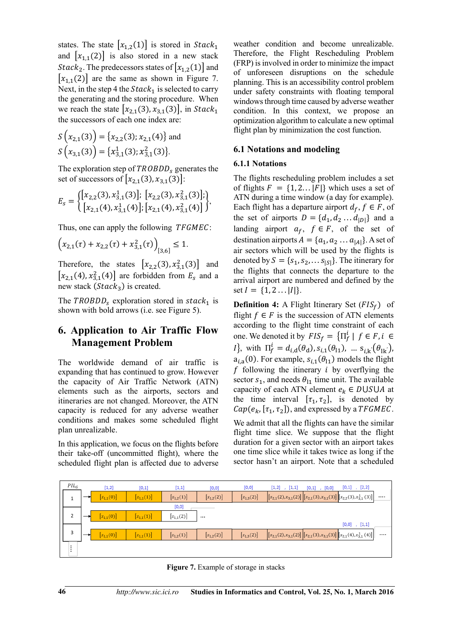states. The state  $[x_{1,2}(1)]$  is stored in  $Stack_1$ and  $[x_{1,1}(2)]$  is also stored in a new stack *Stack*<sub>2</sub>. The predecessors states of  $[x_{1,2}(1)]$  and  $[x_{1,1}(2)]$  are the same as shown in Figure 7. Next, in the step 4 the  $Stack_1$  is selected to carry the generating and the storing procedure. When we reach the state  $[x_{2,1}(3), x_{3,1}(3)]$ , in  $Stack_1$ the successors of each one index are:

$$
S(x_{2,1}(3)) = {x_{2,2}(3); x_{2,1}(4)} \text{ and}
$$
  

$$
S(x_{3,1}(3)) = {x_{3,1}^1(3); x_{3,1}^2(3)}.
$$

The exploration step of  $TROBDD<sub>s</sub>$  generates the set of successors of  $[x_{2,1}(3), x_{3,1}(3)]$ :

$$
E_s = \begin{cases} [x_{2,2}(3), x_{3,1}^1(3)]; [x_{2,2}(3), x_{3,1}^2(3)]; \\ [x_{2,1}(4), x_{3,1}^1(4)]; [x_{2,1}(4), x_{3,1}^2(4)] \end{cases},
$$

Thus, one can apply the following *TFGMEC*:

$$
\left(x_{2,1}(\tau) + x_{2,2}(\tau) + x_{3,1}^2(\tau)\right)_{[3,6]} \le 1.
$$

Therefore, the states  $[x_{2,2}(3), x_{3,1}^2(3)]$  and  $[x_{2,1}(4), x_{3,1}^2(4)]$  are forbidden from  $E_s$  and a new stack  $(Stack<sub>3</sub>)$  is created.

The  $TROBDD_s$  exploration stored in  $stack_1$  is shown with bold arrows (i.e. see Figure 5).

### **6. Application to Air Traffic Flow Management Problem**

The worldwide demand of air traffic is expanding that has continued to grow. However the capacity of Air Traffic Network (ATN) elements such as the airports, sectors and itineraries are not changed. Moreover, the ATN capacity is reduced for any adverse weather conditions and makes some scheduled flight plan unrealizable.

In this application, we focus on the flights before their take-off (uncommitted flight), where the scheduled flight plan is affected due to adverse weather condition and become unrealizable. Therefore, the Flight Rescheduling Problem (FRP) is involved in order to minimize the impact of unforeseen disruptions on the schedule planning. This is an accessibility control problem under safety constraints with floating temporal windows through time caused by adverse weather condition. In this context, we propose an optimization algorithm to calculate a new optimal flight plan by minimization the cost function.

#### **6.1 Notations and modeling**

#### **6.1.1 Notations**

The flights rescheduling problem includes a set of flights  $F = \{1, 2... |F|\}$  which uses a set of ATN during a time window (a day for example). Each flight has a departure airport  $d_f$ ,  $f \in F$ , of the set of airports  $D = \{d_1, d_2, \ldots, d_{|D|}\}\$  and a landing airport  $a_f$ ,  $f \in F$ , of the set of destination airports  $A = \{a_1, a_2 \dots a_{|A|}\}\.$  A set of air sectors which will be used by the flights is denoted by  $S = \{s_1, s_2, \dots s_{|S|}\}\$ . The itinerary for the flights that connects the departure to the arrival airport are numbered and defined by the set  $I = \{1, 2 \dots |I|\}.$ 

**Definition 4:** A Flight Itinerary Set  $(FIS_f)$  of flight  $f \in F$  is the succession of ATN elements according to the flight time constraint of each one. We denoted it by  $FIS_f = \{ \Pi_f^i | f \in F, i \in$ *I*}, with  $\Pi_f^l = d_{i,d}(\theta_d), s_{i,1}(\theta_{l1}), \dots s_{i,k}(\theta_{lk}),$  $a_{i,a}(0)$ . For example,  $s_{i,1}(\theta_{11})$  models the flight  $f$  following the itinerary  $i$  by overflying the sector  $s_1$ , and needs  $\theta_{11}$  time unit. The available capacity of each ATN element  $e_k \in DUSUA$  at the time interval  $[\tau_1, \tau_2]$ , is denoted by  $Cap(e_k, [\tau_1, \tau_2])$ , and expressed by a  $TFGMEC$ .

We admit that all the flights can have the similar flight time slice. We suppose that the flight duration for a given sector with an airport takes one time slice while it takes twice as long if the sector hasn't an airport. Note that a scheduled



**Figure 7.** Example of storage in stacks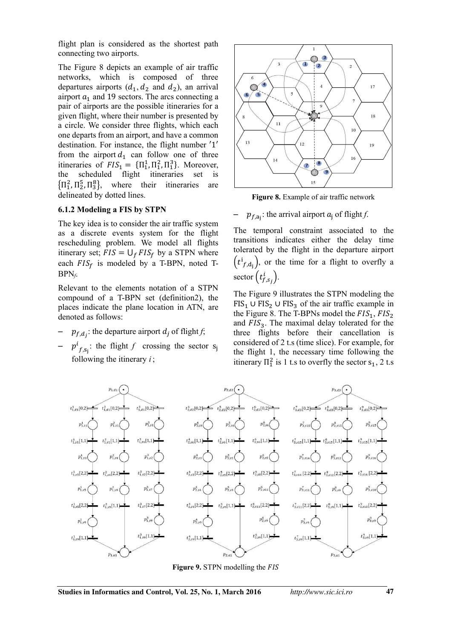flight plan is considered as the shortest path connecting two airports.

The Figure 8 depicts an example of air traffic networks, which is composed of three departures airports  $(d_1, d_2, d_3)$ , an arrival airport  $a_1$  and 19 sectors. The arcs connecting a pair of airports are the possible itineraries for a given flight, where their number is presented by a circle. We consider three flights, which each one departs from an airport, and have a common destination. For instance, the flight number '1' from the airport  $d_1$  can follow one of three itineraries of  $FIS_1 = {\Pi_1^1, \Pi_1^2, \Pi_1^3}$ . Moreover, the scheduled flight itineraries set is  ${\{\Pi_1^2, \Pi_2^5, \Pi_3^8\}}$ , where their itineraries are delineated by dotted lines.

#### **6.1.2 Modeling a FIS by STPN**

The key idea is to consider the air traffic system as a discrete events system for the flight rescheduling problem. We model all flights itinerary set;  $FIS = \bigcup_{f} FIS_{f}$  by a STPN where each  $FIS_f$  is modeled by a T-BPN, noted T-BPN*f*.

Relevant to the elements notation of a STPN compound of a T-BPN set (definition2), the places indicate the plane location in ATN, are denoted as follows:

- $-$  *p<sub>f,d<sub>j</sub>*: the departure airport *d<sub>j</sub>* of flight *f*;</sub>
- $p^l$  $f_{,s_j}$ : the flight *f* crossing the sector s<sub>j</sub> following the itinerary *i* ;



**Figure 8.** Example of air traffic network

# $-$  *p*<sub>*f*, $a_j$ </sub>: the arrival airport *a*<sub>j</sub> of flight *f*.

The temporal constraint associated to the transitions indicates either the delay time tolerated by the flight in the departure airport  $(t^1_{f, d_j})$ , or the time for a flight to overfly a sector  $(t_{f,s_j}^l)$ .

The Figure 9 illustrates the STPN modeling the  $FIS_1 \cup FIS_2 \cup FIS_3$  of the air traffic example in the Figure 8. The T-BPNs model the  $FIS_1$ ,  $FIS_2$ and  $FIS<sub>3</sub>$ . The maximal delay tolerated for the three flights before their cancellation is considered of 2 t.s (time slice). For example, for the flight 1, the necessary time following the itinerary  $\Pi_1^2$  is 1 t.s to overfly the sector  $s_1$ , 2 t.s



**Figure 9.** STPN modelling the FIS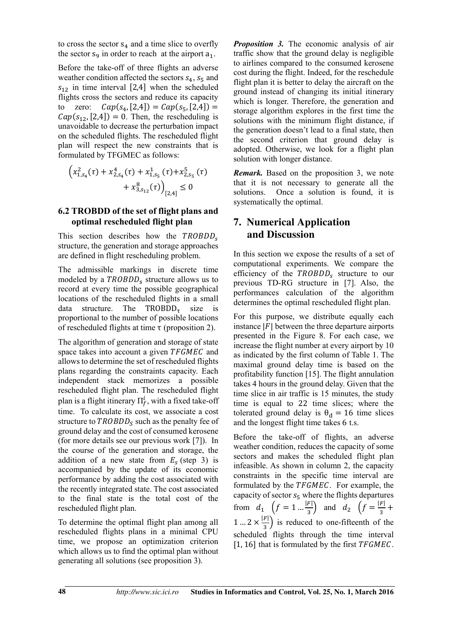to cross the sector  $s_4$  and a time slice to overfly the sector  $s_9$  in order to reach at the airport  $a_1$ .

Before the take-off of three flights an adverse weather condition affected the sectors  $s_4$ ,  $s_5$  and  $s_{12}$  in time interval [2,4] when the scheduled flights cross the sectors and reduce its capacity to zero:  $Cap(s_4, [2,4]) = Cap(s_5, [2,4]) =$  $Cap(s_{12}, [2,4]) = 0$ . Then, the rescheduling is unavoidable to decrease the perturbation impact on the scheduled flights. The rescheduled flight plan will respect the new constraints that is formulated by TFGMEC as follows:

$$
\left(x_{1,s_4}^2(\tau) + x_{2,s_4}^4(\tau) + x_{1,s_5}^1(\tau) + x_{2,s_5}^5(\tau) + x_{3,s_{12}}^8(\tau)\right)_{[2,4]} \le 0
$$

#### **6.2 TROBDD of the set of flight plans and optimal rescheduled flight plan**

This section describes how the  $TROBDD<sub>s</sub>$ structure, the generation and storage approaches are defined in flight rescheduling problem.

The admissible markings in discrete time modeled by a  $TROBDD<sub>s</sub>$  structure allows us to record at every time the possible geographical locations of the rescheduled flights in a small data structure. The  $TROBDD_{\tau}$  size is proportional to the number of possible locations of rescheduled flights at time τ (proposition 2).

The algorithm of generation and storage of state space takes into account a given TFGMEC and allows to determine the set of rescheduled flights plans regarding the constraints capacity. Each independent stack memorizes a possible rescheduled flight plan. The rescheduled flight plan is a flight itinerary  $\Pi_f^l$ , with a fixed take-off time. To calculate its cost, we associate a cost structure to  $TROBDD<sub>S</sub>$  such as the penalty fee of ground delay and the cost of consumed kerosene (for more details see our previous work [7]). In the course of the generation and storage, the addition of a new state from  $E_s$  (step 3) is accompanied by the update of its economic performance by adding the cost associated with the recently integrated state. The cost associated to the final state is the total cost of the rescheduled flight plan.

To determine the optimal flight plan among all rescheduled flights plans in a minimal CPU time, we propose an optimization criterion which allows us to find the optimal plan without generating all solutions (see proposition 3).

*Proposition 3.* The economic analysis of air traffic show that the ground delay is negligible to airlines compared to the consumed kerosene cost during the flight. Indeed, for the reschedule flight plan it is better to delay the aircraft on the ground instead of changing its initial itinerary which is longer. Therefore, the generation and storage algorithm explores in the first time the solutions with the minimum flight distance, if the generation doesn't lead to a final state, then the second criterion that ground delay is adopted. Otherwise, we look for a flight plan solution with longer distance.

*Remark.* Based on the proposition 3, we note that it is not necessary to generate all the solutions. Once a solution is found, it is systematically the optimal.

# **7. Numerical Application and Discussion**

In this section we expose the results of a set of computational experiments. We compare the efficiency of the  $TROBDD<sub>s</sub>$  structure to our previous TD-RG structure in [7]. Also, the performances calculation of the algorithm determines the optimal rescheduled flight plan.

For this purpose, we distribute equally each instance  $|F|$  between the three departure airports presented in the Figure 8. For each case, we increase the flight number at every airport by 10 as indicated by the first column of Table 1. The maximal ground delay time is based on the profitability function [15]. The flight annulation takes 4 hours in the ground delay. Given that the time slice in air traffic is 15 minutes, the study time is equal to 22 time slices; where the tolerated ground delay is  $\theta_d = 16$  time slices and the longest flight time takes 6 t.s.

Before the take-off of flights, an adverse weather condition, reduces the capacity of some sectors and makes the scheduled flight plan infeasible. As shown in column 2, the capacity constraints in the specific time interval are formulated by the TFGMEC. For example, the capacity of sector  $s_5$  where the flights departures from  $d_1 \left( f = 1 ... \frac{|F|}{3} \right)$  and  $d_2 \left( f = \frac{|F|}{3} + \right)$ 1 ...  $2 \times \frac{|F|}{3}$  is reduced to one-fifteenth of the scheduled flights through the time interval  $[1, 16]$  that is formulated by the first  $TFGMEC$ .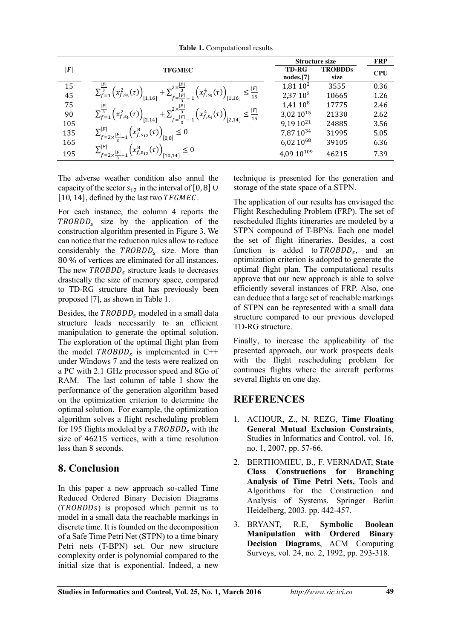**Table 1.** Computational results

|                                         |                                                                                                                                                                                                                                        | <b>Structure size</b>  |                | <b>FRP</b> |
|-----------------------------------------|----------------------------------------------------------------------------------------------------------------------------------------------------------------------------------------------------------------------------------------|------------------------|----------------|------------|
| F                                       | <b>TFGMEC</b>                                                                                                                                                                                                                          | <b>TD-RG</b>           | <b>TROBDDs</b> | <b>CPU</b> |
|                                         |                                                                                                                                                                                                                                        | nodes, [7]             | size           |            |
| $\begin{array}{c} 15 \\ 45 \end{array}$ |                                                                                                                                                                                                                                        | $1,81,10^2$            | 3555           | 0.36       |
|                                         | $\sum_{f=1}^{\lfloor F \rfloor} \left( x_{f,s_5}^2(\tau) \right)_{[1,16]} + \sum_{f=\frac{\lfloor F \rfloor}{2}+1}^{2 \times \frac{\lfloor F \rfloor}{3}} \left( x_{f,s_5}^4(\tau) \right)_{[1,16]} \leq \frac{\lfloor F \rfloor}{15}$ | $2,37,10^{5}$          | 10665          | 1.26       |
| 75                                      |                                                                                                                                                                                                                                        | $1,41,10^8$            | 17775          | 2.46       |
| 90                                      | $\sum_{f=1}^{\frac{ F }{3}}\left(x_{f,s_4}^2(\tau)\right)_{[2,14]}+\sum_{f=\frac{ F }{3}+1}^{2\times\frac{ F }{3}}\left(x_{f,s_4}^4(\tau)\right)_{[2,14]}\leq\frac{ F }{15}$                                                           | $3,02,10^{15}$         | 21330          | 2.62       |
| 105                                     |                                                                                                                                                                                                                                        | $9,19,10^{21}$         | 24885          | 3.56       |
| 135                                     | $\sum_{f=2\times\frac{ F }{2}+1}^{ F }\left(x_{f,s_{12}}^{8}(\tau)\right)_{[0,8]}\leq 0$                                                                                                                                               | 7,87 10 <sup>34</sup>  | 31995          | 5.05       |
| 165                                     |                                                                                                                                                                                                                                        | 6,02 1068              | 39105          | 6.36       |
| 195                                     | $\sum_{f=2\times\frac{ F }{2}+1}^{ F }\left(x_{f,s_{12}}^{8}(\tau)\right)_{[10,14]}\leq 0$                                                                                                                                             | 4,09 10 <sup>109</sup> | 46215          | 7.39       |

The adverse weather condition also annul the capacity of the sector  $s_{12}$  in the interval of [0, 8]  $\cup$ [10, 14], defined by the last two  $TFGMEC$ .

For each instance, the column 4 reports the  $TROBDD<sub>s</sub>$  size by the application of the construction algorithm presented in Figure 3. We can notice that the reduction rules allow to reduce considerably the  $TROBDD<sub>s</sub>$  size. More than 80 % of vertices are eliminated for all instances. The new  $TROBDD<sub>s</sub>$  structure leads to decreases drastically the size of memory space, compared to TD-RG structure that has previously been proposed [7], as shown in Table 1.

Besides, the  $TROBDD<sub>s</sub>$  modeled in a small data structure leads necessarily to an efficient manipulation to generate the optimal solution. The exploration of the optimal flight plan from the model  $TROBDD<sub>s</sub>$  is implemented in C++ under Windows 7 and the tests were realized on a PC with 2.1 GHz processor speed and 8Go of RAM. The last column of table I show the performance of the generation algorithm based on the optimization criterion to determine the optimal solution. For example, the optimization algorithm solves a flight rescheduling problem for 195 flights modeled by a  $TROBDD<sub>s</sub>$  with the size of 46215 vertices, with a time resolution less than 8 seconds.

# **8. Conclusion**

In this paper a new approach so-called Time Reduced Ordered Binary Decision Diagrams  $(TROBDDs)$  is proposed which permit us to model in a small data the reachable markings in discrete time. It is founded on the decomposition of a Safe Time Petri Net (STPN) to a time binary Petri nets (T-BPN) set. Our new structure complexity order is polynomial compared to the initial size that is exponential. Indeed, a new

technique is presented for the generation and storage of the state space of a STPN.

The application of our results has envisaged the Flight Rescheduling Problem (FRP). The set of rescheduled flights itineraries are modeled by a STPN compound of T-BPNs. Each one model the set of flight itineraries. Besides, a cost function is added to  $TROBDD<sub>s</sub>$ , and an optimization criterion is adopted to generate the optimal flight plan. The computational results approve that our new approach is able to solve efficiently several instances of FRP. Also, one can deduce that a large set of reachable markings of STPN can be represented with a small data structure compared to our previous developed TD-RG structure.

Finally, to increase the applicability of the presented approach, our work prospects deals with the flight rescheduling problem for continues flights where the aircraft performs several flights on one day.

# **REFERENCES**

- 1. ACHOUR, Z., N. REZG, **Time Floating General Mutual Exclusion Constraints**, Studies in Informatics and Control, vol. 16, no. 1, 2007, pp. 57-66.
- 2. BERTHOMIEU, B., F. VERNADAT, **State Class Constructions for Branching Analysis of Time Petri Nets,** Tools and Algorithms for the Construction and Analysis of Systems. Springer Berlin Heidelberg, 2003. pp. 442-457.
- 3. BRYANT, R.E, **Symbolic Boolean Manipulation with Ordered Binary Decision Diagrams**, ACM Computing Surveys, vol. 24, no. 2, 1992, pp. 293-318.